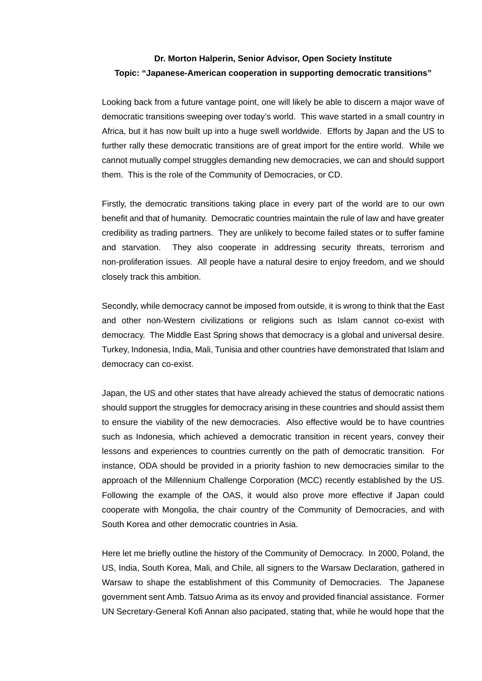## **Dr. Morton Halperin, Senior Advisor, Open Society Institute Topic: "Japanese-American cooperation in supporting democratic transitions"**

Looking back from a future vantage point, one will likely be able to discern a major wave of democratic transitions sweeping over today's world. This wave started in a small country in Africa, but it has now built up into a huge swell worldwide. Efforts by Japan and the US to further rally these democratic transitions are of great import for the entire world. While we cannot mutually compel struggles demanding new democracies, we can and should support them. This is the role of the Community of Democracies, or CD.

Firstly, the democratic transitions taking place in every part of the world are to our own benefit and that of humanity. Democratic countries maintain the rule of law and have greater credibility as trading partners. They are unlikely to become failed states or to suffer famine and starvation. They also cooperate in addressing security threats, terrorism and non-proliferation issues. All people have a natural desire to enjoy freedom, and we should closely track this ambition.

Secondly, while democracy cannot be imposed from outside, it is wrong to think that the East and other non-Western civilizations or religions such as Islam cannot co-exist with democracy. The Middle East Spring shows that democracy is a global and universal desire. Turkey, Indonesia, India, Mali, Tunisia and other countries have demonstrated that Islam and democracy can co-exist.

Japan, the US and other states that have already achieved the status of democratic nations should support the struggles for democracy arising in these countries and should assist them to ensure the viability of the new democracies. Also effective would be to have countries such as Indonesia, which achieved a democratic transition in recent years, convey their lessons and experiences to countries currently on the path of democratic transition. For instance, ODA should be provided in a priority fashion to new democracies similar to the approach of the Millennium Challenge Corporation (MCC) recently established by the US. Following the example of the OAS, it would also prove more effective if Japan could cooperate with Mongolia, the chair country of the Community of Democracies, and with South Korea and other democratic countries in Asia.

Here let me briefly outline the history of the Community of Democracy. In 2000, Poland, the US, India, South Korea, Mali, and Chile, all signers to the Warsaw Declaration, gathered in Warsaw to shape the establishment of this Community of Democracies. The Japanese government sent Amb. Tatsuo Arima as its envoy and provided financial assistance. Former UN Secretary-General Kofi Annan also pacipated, stating that, while he would hope that the